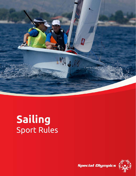

# **Sailing** Sport Rules

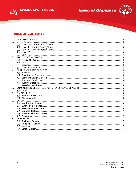



## **TABLE OF CONTENTS**

| 1.             |  |
|----------------|--|
| 2.             |  |
|                |  |
|                |  |
|                |  |
|                |  |
|                |  |
| $\mathbf{3}$   |  |
|                |  |
|                |  |
|                |  |
|                |  |
| $\mathbf{4}$   |  |
|                |  |
|                |  |
|                |  |
|                |  |
|                |  |
|                |  |
| 5.             |  |
|                |  |
| 6.             |  |
|                |  |
|                |  |
| 7 <sub>1</sub> |  |
|                |  |
|                |  |
|                |  |
|                |  |
|                |  |
|                |  |
| 8.             |  |
|                |  |
|                |  |
|                |  |
|                |  |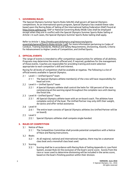#### <span id="page-2-0"></span>**1. GOVERNING RULES**

The Special Olympics Summer Sports Rules SAILING shall govern all Special Olympics competitions. As an international sports program, Special Olympics has created these rules based upon the Racing Rules of Sailing of the International Sailing Federation (ISAF) found at [http://www.sailing.org/.](http://www.sailing.org/) ISAF or National Governing Body (NGB) rules shall be employed except when they are in conflict with the Special Olympics Summer Sports Rules Sailing or Article I. In such cases, the Special Olympics Summer Sports Rules Sailing shall apply.

#### Refer to Article 1[, http://media.specialolympics.org/resources/sports-](http://media.specialolympics.org/resources/sports-essentials/general/Sports-Rules-Article-1.pdf)

[essentials/general/Sports-Rules-Article-1.pdf,](http://media.specialolympics.org/resources/sports-essentials/general/Sports-Rules-Article-1.pdf) for more information pertaining to Codes of Conduct, Training Standards, Medical and Safety Requirements, Divisioning, Awards, Criteria for Advancement to Higher Levels of Competition, and Unified Sports.

#### <span id="page-2-1"></span>**2. OFFICIAL EVENTS**

The range of events is intended to offer competition opportunities for athletes of all abilities. Programs may determine the events offered and, if required, guidelines for the management of those events. Coaches are responsible for providing training and event selection appropriate to each competitor's skill and interest.

Racing for all levels of competition shall be available at regattas. The following is a list of official events available in Special Olympics.

- <span id="page-2-2"></span> $2.1$ Level I — Unified Sports® team
	- 2.1.1 The Special Olympics athlete member(s) of the crew will have responsibility for head sail trim.
- <span id="page-2-3"></span>2.2 Level II — Unified Sports® team
	- $2.2.1$ A Special Olympics athlete shall control the helm for 100 percent of the race commencing at the warning signal throughout the complete race until clearing the finish line.
- <span id="page-2-4"></span>2.3 Level III – Unified Sports® Team
	- All Special Olympics athlete team with an on-board coach. The athletes have  $2.3.1$ complete control of the boat. The Unified Partner may only shift their weight, do tactics and offer verbal assistance.
- <span id="page-2-5"></span>2.4 Level IV
	- $2.4.1$ The entire team consists of Special Olympics athletes (no Unified Partner will be on board).
- <span id="page-2-6"></span>2.5 Level V
	- 2.5.1 Special Olympics athletes shall compete single-handed.

#### <span id="page-2-8"></span><span id="page-2-7"></span>**3. RULES OF COMPETITION**

- $3.1$ Notice of Race
	- $3.1.1$ The Competition Committee shall provide potential competitors with a Notice of Race and Racing Instructions.
- <span id="page-2-9"></span> $3.2$ Boats
	- At all regional, national and international regattas, there may be a catamaran  $3.2.1$ class boat and a monohull class boat used.
- <span id="page-2-10"></span>3.3 Scoring
	- $3.3.1$ Scoring shall be in accordance with Racing Rule of Sailing Appendix A, Low Point System, except Rule A2 the exclusion of the boat's worst score. Scores from the race or races used to determine divisioning will be included in the series score, based on the boat's finishing position within their division.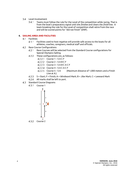#### <span id="page-3-0"></span>3.4 Level Involvement

 $3.4.1$ Teams must follow the rule for the Level of the competition while racing. That is from the boat's preparatory signal until she *finishes* and clears the *finish* line. A team breaking the rule for the Level of competition shall retire from the race and will be scored points for "did not finish" (DNF).

#### <span id="page-3-2"></span><span id="page-3-1"></span>**4. SAILING AREA AND FACILITIES**

- $4.1$ Facilities
	- $4.1.1$ Facilities used to host regattas will provide safe access to the boats for all athletes, coaches, caregivers, medical staff and officials.
- <span id="page-3-3"></span>4.2 Race Course Configurations
	- $4.2.1$ Race Courses will be selected from the Standard Course configurations for Special Olympics Sailing.
	- 4.2.2 These configurations are, as follows:
		- $4.2.2.1$  Course  $1 S A C F$
		- $4.2.2.2$  Course  $2 S A B C F$
		- $4.2.2.3$  Course  $3 S$  A B C A C F
		- $4.2.2.4$  Course  $4 5$  A C A C F
		- 4.2.2.5 Course 5 S A (Maximum distance of 1,000 meters and a Finish Line at A.)
	- S = Start; F = Finish; A = Windward Mark; B = Jibe Mark; C = Leeward Mark
	- All marks shall be left to port.
- <span id="page-3-4"></span>4.3 Standard Course Diagrams
	- 4.3.1 Course 1

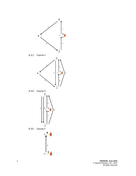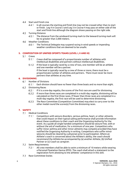- <span id="page-5-0"></span>4.4 Start and Finish Line
	- $4.4.1$ In all courses the starting and finish line may not be crossed other than to start or finish. Leg 4 in Course 3 and Leg 3 in Course 4 may pass on either side of the start and finish line although the diagram shows passing on the right side.
- <span id="page-5-1"></span>4.5 Turning Distance
	- The distance from the windward turning mark to the leeward turning mark will  $4.5.1$ be no greater than 2,000 meters.
- <span id="page-5-2"></span>4.6 Weather Conditions
	- $4.6.1$ The Technical Delegate may suspend racing in wind speeds or impending weather conditions that are deemed to be unsafe.

#### <span id="page-5-4"></span><span id="page-5-3"></span>**5. COMPOSITION OF UNIFIED SPORTS TEAMS (LEVEL I, II AND III)**

- 5.1 Crews
	- $5.1.1$ Crews shall be composed of a proportionate number of athletes with intellectual disabilities and partners without intellectual disabilities.
	- $5.1.2$ If the boat is typically raced by a crew of two, one member will be an athlete and one member will be a partner. If the boat is typically raced by a crew of three or more, there must be a proportionate number of athletes and partners. There must never be more partners than athletes at any time.

#### <span id="page-5-6"></span><span id="page-5-5"></span>**6. DIVISIONING**

- 6.1 Number of Divisions
	- $6.1.1$ Each division should have no fewer than three boats and no more than eight.
- <span id="page-5-7"></span> $6.2$ Divisioning Races
	- $6.2.1$ If it is a one-day regatta, the scores of the first race are used for divisioning.
	- $6.2.2$ If more than three races are completed in a multi-day regatta, divisioning will be calculated on the first three races. If fewer than three races are completed in a multi-day regatta, the first race will be used to determine divisioning.
	- $6.2.3$ The Race Committee (Competition Committee) may elect to carry over to the other medal round the scores(s) from the divisioning races.

### <span id="page-5-9"></span><span id="page-5-8"></span>**7. SAFETY**

- $7.1$ Medical Conditions
	- $7.1.1$ Competitors with seizure disorders, serious asthma, heart, or other ailments that could impact on their typical sailing performance shall provide information about these conditions to their coach and the Organizing Authority for the event. As a guide all single handed competitors should be seizure free, with or without the aid of medication, for a minimum of one year. Competitors who suffer minor asthma and other minor ailments may compete provided they have notified the Organizing Authority in writing. Competitors who suffer minor seizures should be cleared by a physician prior to participation. Where an Athlete's coach is concerned about the Athlete's ability, the coach should recommend the Athlete be accompanied by (a) another Athlete, (b) Unified Partner or (c) Coach as caregiver.
- <span id="page-5-10"></span>7.2 Swim Requirements
	- $7.2.1$ All crew members shall be able to swim a minimum of 10 meters while wearing a Personal Floatation Device (PFD). The coach shall attach a statement to the registration form attesting to the athletes' competence in this skill.
- <span id="page-5-11"></span>7.3 Race Committee Duties